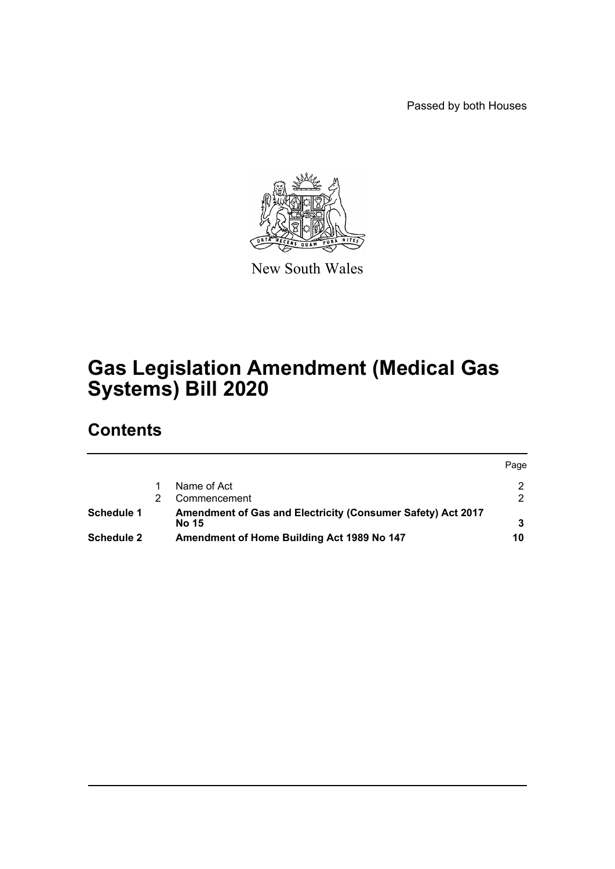Passed by both Houses



New South Wales

# **Gas Legislation Amendment (Medical Gas Systems) Bill 2020**

# **Contents**

|                   |                                                                             | Page |
|-------------------|-----------------------------------------------------------------------------|------|
|                   | Name of Act                                                                 |      |
|                   | Commencement                                                                | ົ    |
| Schedule 1        | Amendment of Gas and Electricity (Consumer Safety) Act 2017<br><b>No 15</b> |      |
| <b>Schedule 2</b> | Amendment of Home Building Act 1989 No 147                                  | 10   |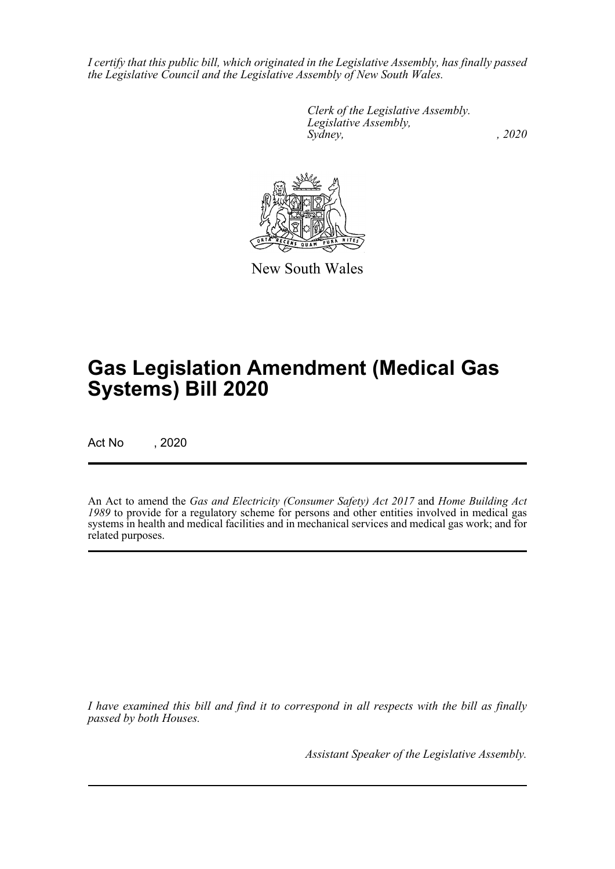*I certify that this public bill, which originated in the Legislative Assembly, has finally passed the Legislative Council and the Legislative Assembly of New South Wales.*

> *Clerk of the Legislative Assembly. Legislative Assembly, Sydney, , 2020*



New South Wales

# **Gas Legislation Amendment (Medical Gas Systems) Bill 2020**

Act No , 2020

An Act to amend the *Gas and Electricity (Consumer Safety) Act 2017* and *Home Building Act 1989* to provide for a regulatory scheme for persons and other entities involved in medical gas systems in health and medical facilities and in mechanical services and medical gas work; and for related purposes.

*I have examined this bill and find it to correspond in all respects with the bill as finally passed by both Houses.*

*Assistant Speaker of the Legislative Assembly.*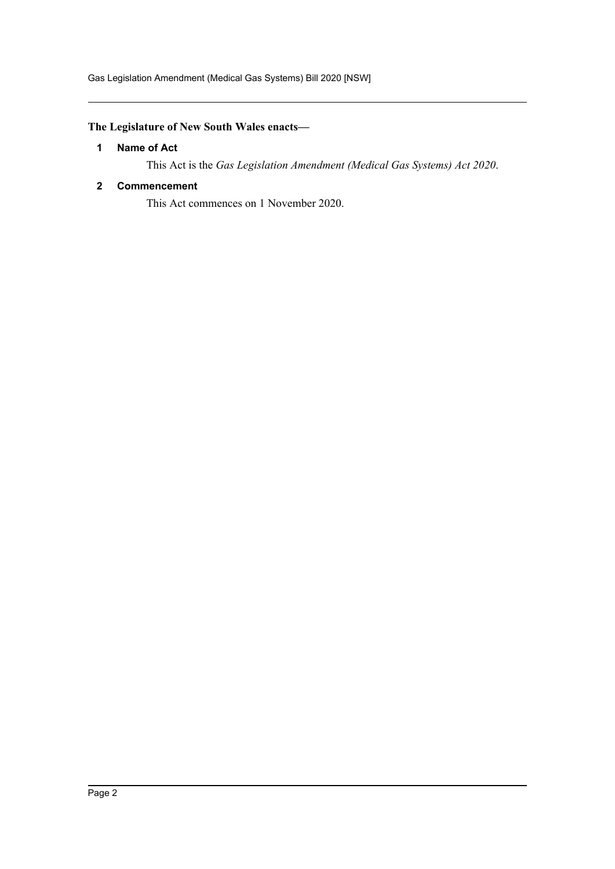Gas Legislation Amendment (Medical Gas Systems) Bill 2020 [NSW]

### <span id="page-2-0"></span>**The Legislature of New South Wales enacts—**

#### **1 Name of Act**

This Act is the *Gas Legislation Amendment (Medical Gas Systems) Act 2020*.

#### <span id="page-2-1"></span>**2 Commencement**

This Act commences on 1 November 2020.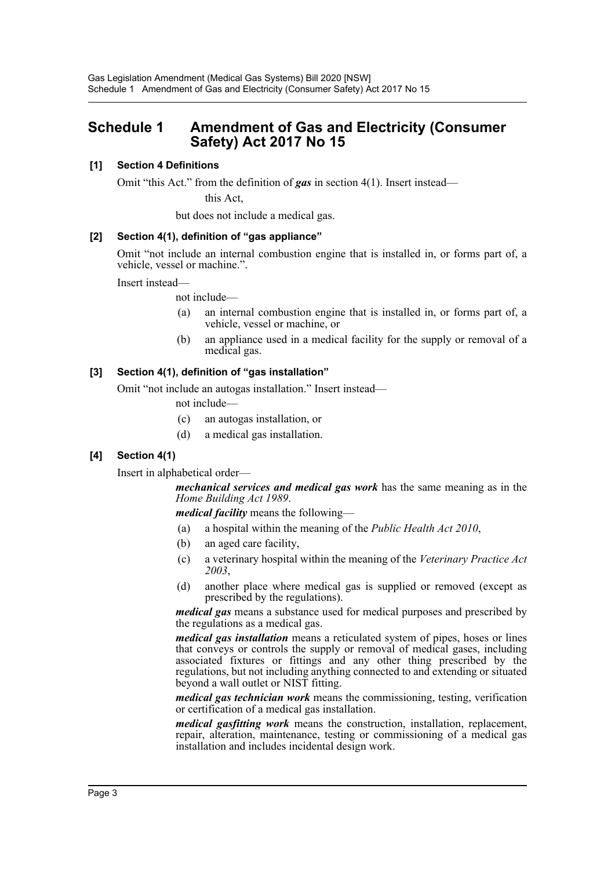## <span id="page-3-0"></span>**Schedule 1 Amendment of Gas and Electricity (Consumer Safety) Act 2017 No 15**

#### **[1] Section 4 Definitions**

Omit "this Act." from the definition of *gas* in section 4(1). Insert instead—

this Act,

but does not include a medical gas.

#### **[2] Section 4(1), definition of "gas appliance"**

Omit "not include an internal combustion engine that is installed in, or forms part of, a vehicle, vessel or machine.".

Insert instead—

not include—

- (a) an internal combustion engine that is installed in, or forms part of, a vehicle, vessel or machine, or
- (b) an appliance used in a medical facility for the supply or removal of a medical gas.

#### **[3] Section 4(1), definition of "gas installation"**

Omit "not include an autogas installation." Insert instead—

not include—

- (c) an autogas installation, or
- (d) a medical gas installation.

#### **[4] Section 4(1)**

Insert in alphabetical order—

#### *mechanical services and medical gas work* has the same meaning as in the *Home Building Act 1989*.

*medical facility* means the following—

- (a) a hospital within the meaning of the *Public Health Act 2010*,
- (b) an aged care facility,
- (c) a veterinary hospital within the meaning of the *Veterinary Practice Act 2003*,
- (d) another place where medical gas is supplied or removed (except as prescribed by the regulations).

*medical gas* means a substance used for medical purposes and prescribed by the regulations as a medical gas.

*medical gas installation* means a reticulated system of pipes, hoses or lines that conveys or controls the supply or removal of medical gases, including associated fixtures or fittings and any other thing prescribed by the regulations, but not including anything connected to and extending or situated beyond a wall outlet or NIST fitting.

*medical gas technician work* means the commissioning, testing, verification or certification of a medical gas installation.

*medical gasfitting work* means the construction, installation, replacement, repair, alteration, maintenance, testing or commissioning of a medical gas installation and includes incidental design work.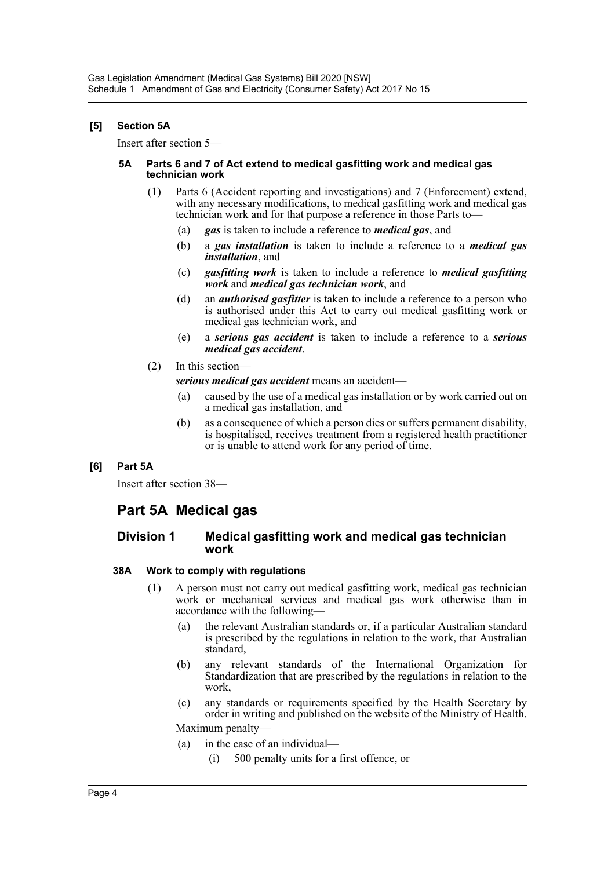#### **[5] Section 5A**

Insert after section 5—

#### **5A Parts 6 and 7 of Act extend to medical gasfitting work and medical gas technician work**

- (1) Parts 6 (Accident reporting and investigations) and 7 (Enforcement) extend, with any necessary modifications, to medical gasfitting work and medical gas technician work and for that purpose a reference in those Parts to—
	- (a) *gas* is taken to include a reference to *medical gas*, and
	- (b) a *gas installation* is taken to include a reference to a *medical gas installation*, and
	- (c) *gasfitting work* is taken to include a reference to *medical gasfitting work* and *medical gas technician work*, and
	- (d) an *authorised gasfitter* is taken to include a reference to a person who is authorised under this Act to carry out medical gasfitting work or medical gas technician work, and
	- (e) a *serious gas accident* is taken to include a reference to a *serious medical gas accident*.
- (2) In this section—

*serious medical gas accident* means an accident—

- (a) caused by the use of a medical gas installation or by work carried out on a medical gas installation, and
- (b) as a consequence of which a person dies or suffers permanent disability, is hospitalised, receives treatment from a registered health practitioner or is unable to attend work for any period of time.

#### **[6] Part 5A**

Insert after section 38—

## **Part 5A Medical gas**

#### **Division 1 Medical gasfitting work and medical gas technician work**

#### **38A Work to comply with regulations**

- (1) A person must not carry out medical gasfitting work, medical gas technician work or mechanical services and medical gas work otherwise than in accordance with the following—
	- (a) the relevant Australian standards or, if a particular Australian standard is prescribed by the regulations in relation to the work, that Australian standard,
	- (b) any relevant standards of the International Organization for Standardization that are prescribed by the regulations in relation to the work,
	- (c) any standards or requirements specified by the Health Secretary by order in writing and published on the website of the Ministry of Health. Maximum penalty—
	- (a) in the case of an individual—
		- (i) 500 penalty units for a first offence, or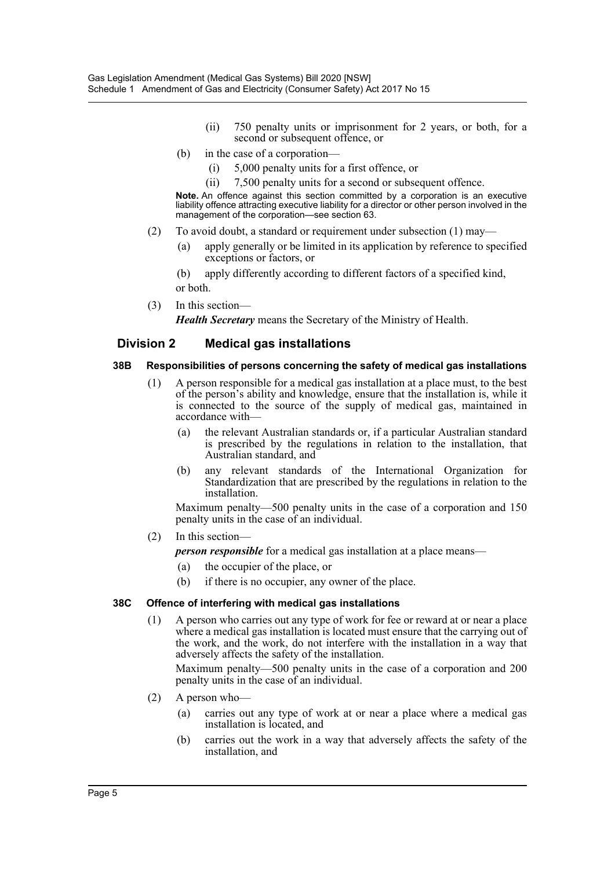- (ii) 750 penalty units or imprisonment for 2 years, or both, for a second or subsequent offence, or
- (b) in the case of a corporation—
	- (i) 5,000 penalty units for a first offence, or
	- (ii) 7,500 penalty units for a second or subsequent offence.

**Note.** An offence against this section committed by a corporation is an executive liability offence attracting executive liability for a director or other person involved in the management of the corporation—see section 63.

- (2) To avoid doubt, a standard or requirement under subsection (1) may—
	- (a) apply generally or be limited in its application by reference to specified exceptions or factors, or
	- (b) apply differently according to different factors of a specified kind,
	- or both.
- (3) In this section—

*Health Secretary* means the Secretary of the Ministry of Health.

### **Division 2 Medical gas installations**

#### **38B Responsibilities of persons concerning the safety of medical gas installations**

- (1) A person responsible for a medical gas installation at a place must, to the best of the person's ability and knowledge, ensure that the installation is, while it is connected to the source of the supply of medical gas, maintained in accordance with—
	- (a) the relevant Australian standards or, if a particular Australian standard is prescribed by the regulations in relation to the installation, that Australian standard, and
	- (b) any relevant standards of the International Organization for Standardization that are prescribed by the regulations in relation to the installation.

Maximum penalty—500 penalty units in the case of a corporation and 150 penalty units in the case of an individual.

(2) In this section—

*person responsible* for a medical gas installation at a place means—

- (a) the occupier of the place, or
- (b) if there is no occupier, any owner of the place.

#### **38C Offence of interfering with medical gas installations**

(1) A person who carries out any type of work for fee or reward at or near a place where a medical gas installation is located must ensure that the carrying out of the work, and the work, do not interfere with the installation in a way that adversely affects the safety of the installation.

Maximum penalty—500 penalty units in the case of a corporation and 200 penalty units in the case of an individual.

- (2) A person who—
	- (a) carries out any type of work at or near a place where a medical gas installation is located, and
	- (b) carries out the work in a way that adversely affects the safety of the installation, and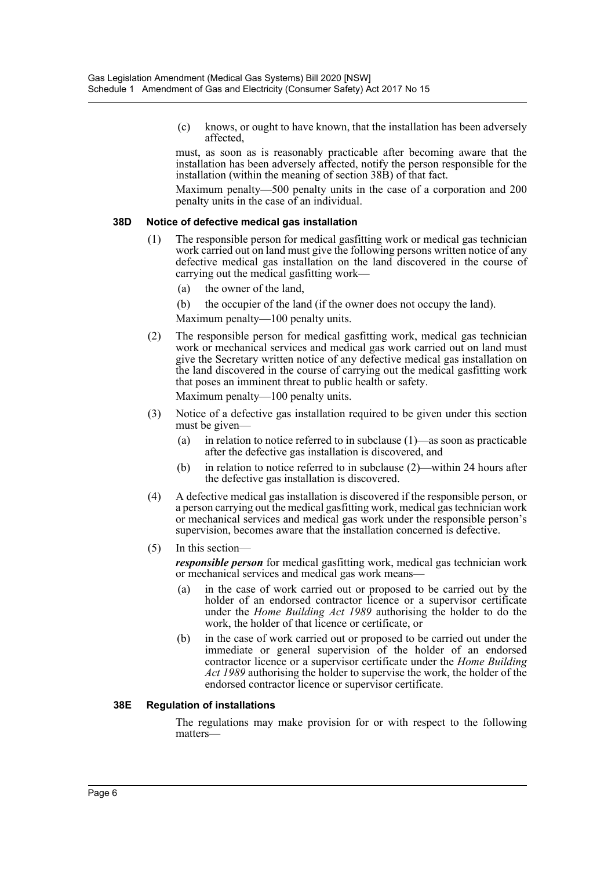(c) knows, or ought to have known, that the installation has been adversely affected,

must, as soon as is reasonably practicable after becoming aware that the installation has been adversely affected, notify the person responsible for the installation (within the meaning of section 38B) of that fact.

Maximum penalty—500 penalty units in the case of a corporation and 200 penalty units in the case of an individual.

#### **38D Notice of defective medical gas installation**

- (1) The responsible person for medical gasfitting work or medical gas technician work carried out on land must give the following persons written notice of any defective medical gas installation on the land discovered in the course of carrying out the medical gasfitting work—
	- (a) the owner of the land,
	- (b) the occupier of the land (if the owner does not occupy the land).

Maximum penalty—100 penalty units.

(2) The responsible person for medical gasfitting work, medical gas technician work or mechanical services and medical gas work carried out on land must give the Secretary written notice of any defective medical gas installation on the land discovered in the course of carrying out the medical gasfitting work that poses an imminent threat to public health or safety.

Maximum penalty—100 penalty units.

- (3) Notice of a defective gas installation required to be given under this section must be given—
	- (a) in relation to notice referred to in subclause (1)—as soon as practicable after the defective gas installation is discovered, and
	- (b) in relation to notice referred to in subclause (2)—within 24 hours after the defective gas installation is discovered.
- (4) A defective medical gas installation is discovered if the responsible person, or a person carrying out the medical gasfitting work, medical gas technician work or mechanical services and medical gas work under the responsible person's supervision, becomes aware that the installation concerned is defective.
- (5) In this section—

*responsible person* for medical gasfitting work, medical gas technician work or mechanical services and medical gas work means—

- (a) in the case of work carried out or proposed to be carried out by the holder of an endorsed contractor licence or a supervisor certificate under the *Home Building Act 1989* authorising the holder to do the work, the holder of that licence or certificate, or
- (b) in the case of work carried out or proposed to be carried out under the immediate or general supervision of the holder of an endorsed contractor licence or a supervisor certificate under the *Home Building Act 1989* authorising the holder to supervise the work, the holder of the endorsed contractor licence or supervisor certificate.

#### **38E Regulation of installations**

The regulations may make provision for or with respect to the following matters—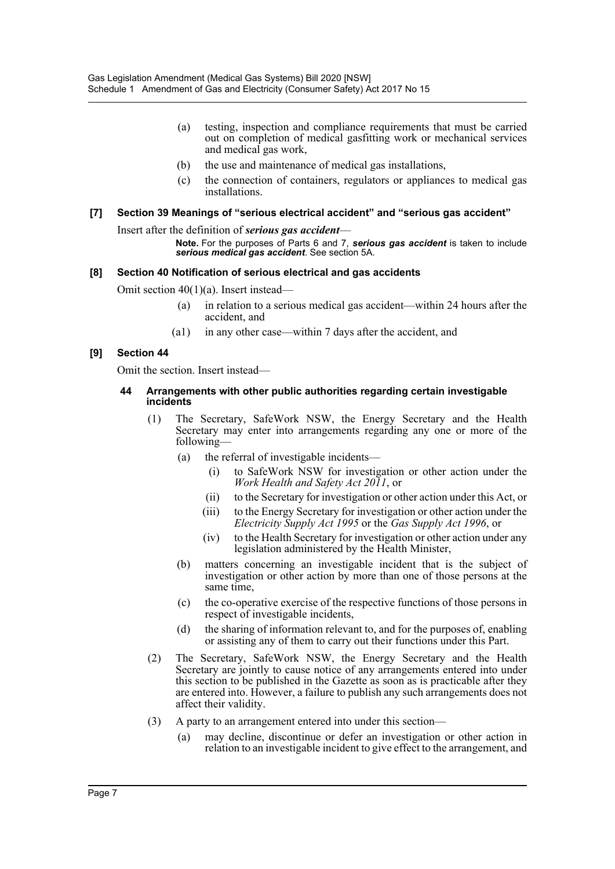- (a) testing, inspection and compliance requirements that must be carried out on completion of medical gasfitting work or mechanical services and medical gas work,
- (b) the use and maintenance of medical gas installations,
- (c) the connection of containers, regulators or appliances to medical gas installations.

#### **[7] Section 39 Meanings of "serious electrical accident" and "serious gas accident"**

Insert after the definition of *serious gas accident*—

**Note.** For the purposes of Parts 6 and 7, *serious gas accident* is taken to include *serious medical gas accident*. See section 5A.

#### **[8] Section 40 Notification of serious electrical and gas accidents**

Omit section 40(1)(a). Insert instead—

- (a) in relation to a serious medical gas accident—within 24 hours after the accident, and
- (a1) in any other case—within 7 days after the accident, and

#### **[9] Section 44**

Omit the section. Insert instead—

#### **44 Arrangements with other public authorities regarding certain investigable incidents**

- (1) The Secretary, SafeWork NSW, the Energy Secretary and the Health Secretary may enter into arrangements regarding any one or more of the following—
	- (a) the referral of investigable incidents—
		- (i) to SafeWork NSW for investigation or other action under the *Work Health and Safety Act 2011*, or
		- (ii) to the Secretary for investigation or other action under this Act, or
		- (iii) to the Energy Secretary for investigation or other action under the *Electricity Supply Act 1995* or the *Gas Supply Act 1996*, or
		- (iv) to the Health Secretary for investigation or other action under any legislation administered by the Health Minister,
	- (b) matters concerning an investigable incident that is the subject of investigation or other action by more than one of those persons at the same time,
	- (c) the co-operative exercise of the respective functions of those persons in respect of investigable incidents,
	- (d) the sharing of information relevant to, and for the purposes of, enabling or assisting any of them to carry out their functions under this Part.
- (2) The Secretary, SafeWork NSW, the Energy Secretary and the Health Secretary are jointly to cause notice of any arrangements entered into under this section to be published in the Gazette as soon as is practicable after they are entered into. However, a failure to publish any such arrangements does not affect their validity.
- (3) A party to an arrangement entered into under this section—
	- (a) may decline, discontinue or defer an investigation or other action in relation to an investigable incident to give effect to the arrangement, and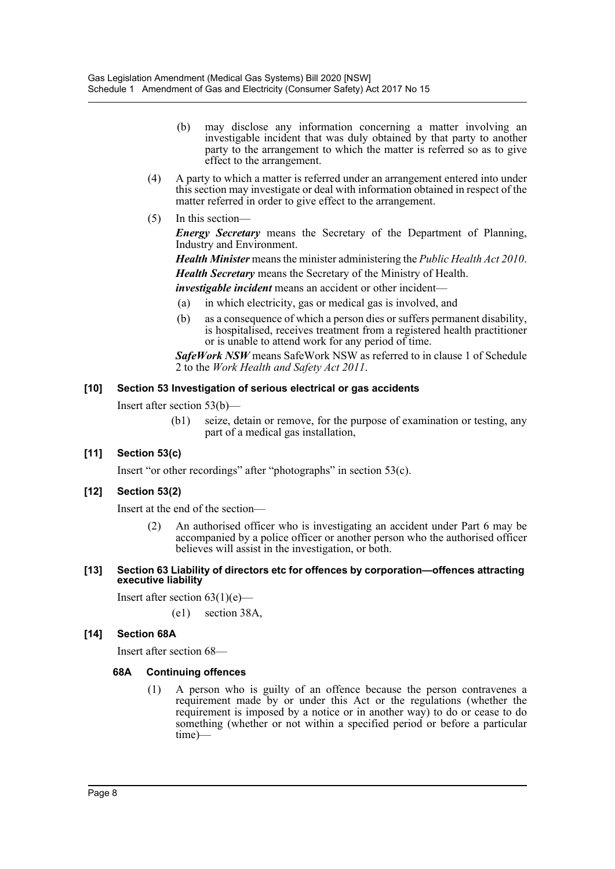- (b) may disclose any information concerning a matter involving an investigable incident that was duly obtained by that party to another party to the arrangement to which the matter is referred so as to give effect to the arrangement.
- (4) A party to which a matter is referred under an arrangement entered into under this section may investigate or deal with information obtained in respect of the matter referred in order to give effect to the arrangement.
- (5) In this section—

*Energy Secretary* means the Secretary of the Department of Planning, Industry and Environment.

*Health Minister* means the minister administering the *Public Health Act 2010*.

*Health Secretary* means the Secretary of the Ministry of Health.

*investigable incident* means an accident or other incident-

- (a) in which electricity, gas or medical gas is involved, and
- (b) as a consequence of which a person dies or suffers permanent disability, is hospitalised, receives treatment from a registered health practitioner or is unable to attend work for any period of time.

*SafeWork NSW* means SafeWork NSW as referred to in clause 1 of Schedule 2 to the *Work Health and Safety Act 2011*.

#### **[10] Section 53 Investigation of serious electrical or gas accidents**

Insert after section 53(b)—

(b1) seize, detain or remove, for the purpose of examination or testing, any part of a medical gas installation,

#### **[11] Section 53(c)**

Insert "or other recordings" after "photographs" in section 53(c).

#### **[12] Section 53(2)**

Insert at the end of the section—

(2) An authorised officer who is investigating an accident under Part 6 may be accompanied by a police officer or another person who the authorised officer believes will assist in the investigation, or both.

#### **[13] Section 63 Liability of directors etc for offences by corporation—offences attracting executive liability**

Insert after section  $63(1)(e)$ —

(e1) section 38A,

#### **[14] Section 68A**

Insert after section 68—

#### **68A Continuing offences**

(1) A person who is guilty of an offence because the person contravenes a requirement made by or under this Act or the regulations (whether the requirement is imposed by a notice or in another way) to do or cease to do something (whether or not within a specified period or before a particular time)—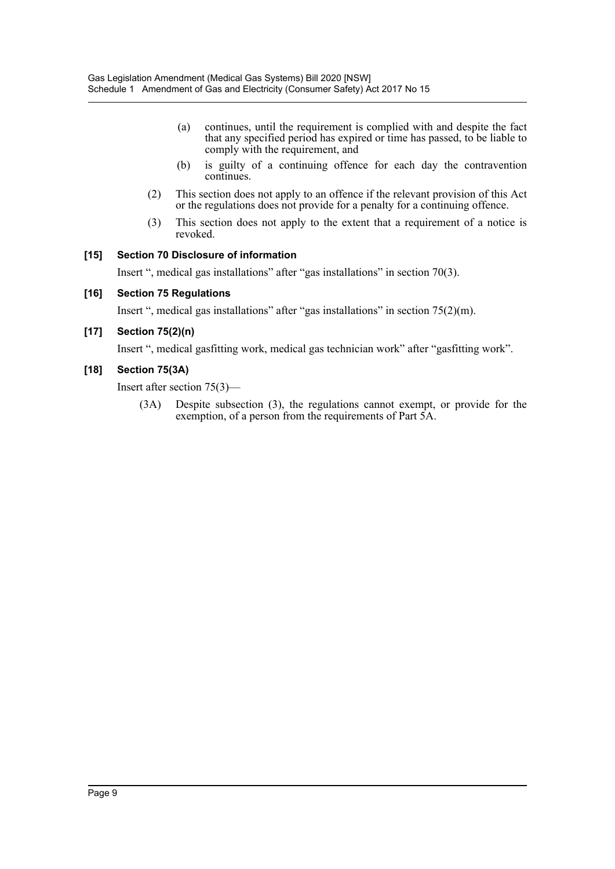- (a) continues, until the requirement is complied with and despite the fact that any specified period has expired or time has passed, to be liable to comply with the requirement, and
- (b) is guilty of a continuing offence for each day the contravention continues.
- (2) This section does not apply to an offence if the relevant provision of this Act or the regulations does not provide for a penalty for a continuing offence.
- (3) This section does not apply to the extent that a requirement of a notice is revoked.

#### **[15] Section 70 Disclosure of information**

Insert ", medical gas installations" after "gas installations" in section 70(3).

#### **[16] Section 75 Regulations**

Insert ", medical gas installations" after "gas installations" in section 75(2)(m).

#### **[17] Section 75(2)(n)**

Insert ", medical gasfitting work, medical gas technician work" after "gasfitting work".

#### **[18] Section 75(3A)**

Insert after section 75(3)—

(3A) Despite subsection (3), the regulations cannot exempt, or provide for the exemption, of a person from the requirements of Part 5A.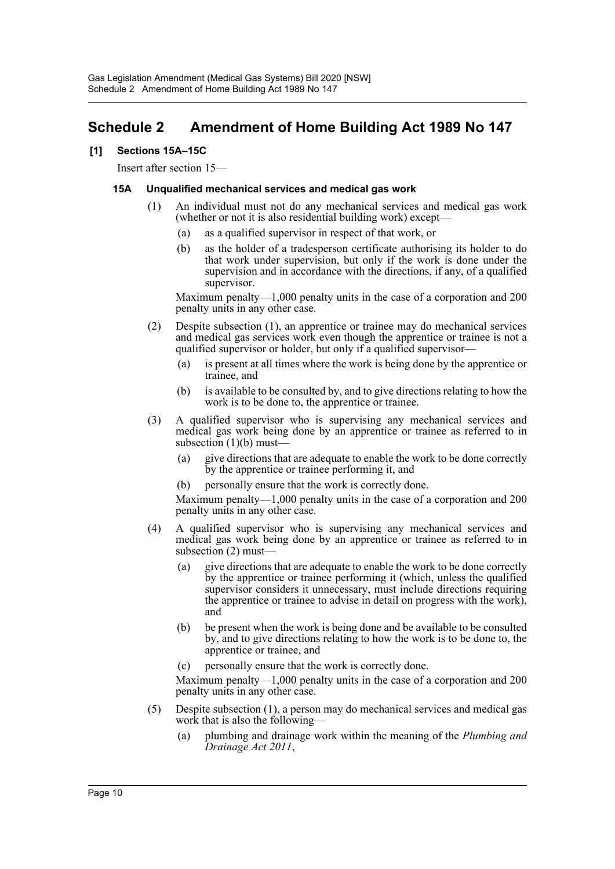## <span id="page-10-0"></span>**Schedule 2 Amendment of Home Building Act 1989 No 147**

#### **[1] Sections 15A–15C**

Insert after section 15—

#### **15A Unqualified mechanical services and medical gas work**

- (1) An individual must not do any mechanical services and medical gas work (whether or not it is also residential building work) except—
	- (a) as a qualified supervisor in respect of that work, or
	- (b) as the holder of a tradesperson certificate authorising its holder to do that work under supervision, but only if the work is done under the supervision and in accordance with the directions, if any, of a qualified supervisor.

Maximum penalty—1,000 penalty units in the case of a corporation and 200 penalty units in any other case.

- (2) Despite subsection (1), an apprentice or trainee may do mechanical services and medical gas services work even though the apprentice or trainee is not a qualified supervisor or holder, but only if a qualified supervisor—
	- (a) is present at all times where the work is being done by the apprentice or trainee, and
	- (b) is available to be consulted by, and to give directions relating to how the work is to be done to, the apprentice or trainee.
- (3) A qualified supervisor who is supervising any mechanical services and medical gas work being done by an apprentice or trainee as referred to in subsection  $(1)(b)$  must-
	- (a) give directions that are adequate to enable the work to be done correctly by the apprentice or trainee performing it, and
	- (b) personally ensure that the work is correctly done.

Maximum penalty—1,000 penalty units in the case of a corporation and 200 penalty units in any other case.

- (4) A qualified supervisor who is supervising any mechanical services and medical gas work being done by an apprentice or trainee as referred to in subsection (2) must—
	- (a) give directions that are adequate to enable the work to be done correctly by the apprentice or trainee performing it (which, unless the qualified supervisor considers it unnecessary, must include directions requiring the apprentice or trainee to advise in detail on progress with the work), and
	- (b) be present when the work is being done and be available to be consulted by, and to give directions relating to how the work is to be done to, the apprentice or trainee, and
	- (c) personally ensure that the work is correctly done.

Maximum penalty—1,000 penalty units in the case of a corporation and 200 penalty units in any other case.

- (5) Despite subsection (1), a person may do mechanical services and medical gas work that is also the following—
	- (a) plumbing and drainage work within the meaning of the *Plumbing and Drainage Act 2011*,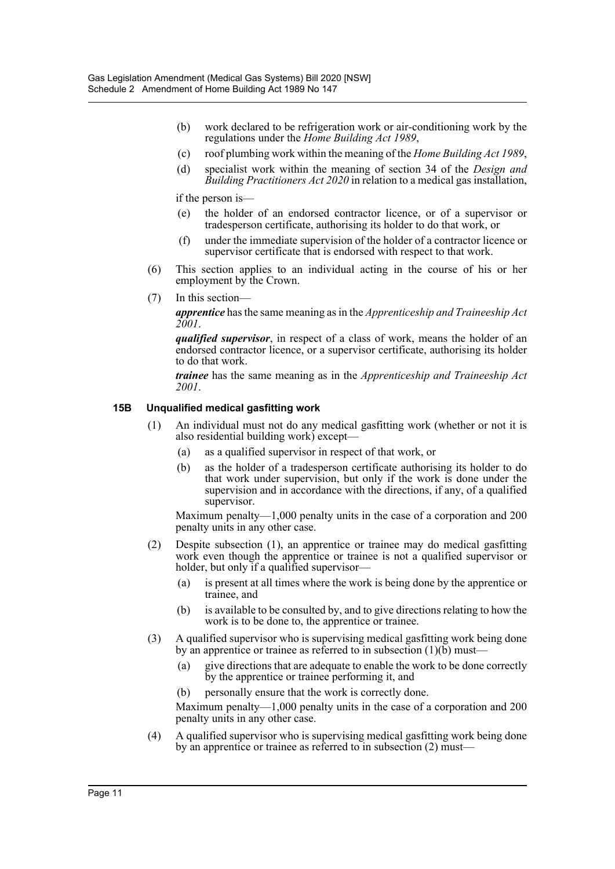- (b) work declared to be refrigeration work or air-conditioning work by the regulations under the *Home Building Act 1989*,
- (c) roof plumbing work within the meaning of the *Home Building Act 1989*,
- (d) specialist work within the meaning of section 34 of the *Design and Building Practitioners Act 2020* in relation to a medical gas installation,

if the person is—

- (e) the holder of an endorsed contractor licence, or of a supervisor or tradesperson certificate, authorising its holder to do that work, or
- (f) under the immediate supervision of the holder of a contractor licence or supervisor certificate that is endorsed with respect to that work.
- (6) This section applies to an individual acting in the course of his or her employment by the Crown.
- (7) In this section—

*apprentice* has the same meaning as in the *Apprenticeship and Traineeship Act 2001*.

*qualified supervisor*, in respect of a class of work, means the holder of an endorsed contractor licence, or a supervisor certificate, authorising its holder to do that work.

*trainee* has the same meaning as in the *Apprenticeship and Traineeship Act 2001*.

#### **15B Unqualified medical gasfitting work**

- (1) An individual must not do any medical gasfitting work (whether or not it is also residential building work) except—
	- (a) as a qualified supervisor in respect of that work, or
	- (b) as the holder of a tradesperson certificate authorising its holder to do that work under supervision, but only if the work is done under the supervision and in accordance with the directions, if any, of a qualified supervisor.

Maximum penalty—1,000 penalty units in the case of a corporation and 200 penalty units in any other case.

- (2) Despite subsection (1), an apprentice or trainee may do medical gasfitting work even though the apprentice or trainee is not a qualified supervisor or holder, but only if a qualified supervisor—
	- (a) is present at all times where the work is being done by the apprentice or trainee, and
	- (b) is available to be consulted by, and to give directions relating to how the work is to be done to, the apprentice or trainee.
- (3) A qualified supervisor who is supervising medical gasfitting work being done by an apprentice or trainee as referred to in subsection  $(1)(\tilde{b})$  must—
	- (a) give directions that are adequate to enable the work to be done correctly by the apprentice or trainee performing it, and
	- (b) personally ensure that the work is correctly done.

Maximum penalty—1,000 penalty units in the case of a corporation and 200 penalty units in any other case.

(4) A qualified supervisor who is supervising medical gasfitting work being done by an apprentice or trainee as referred to in subsection (2) must—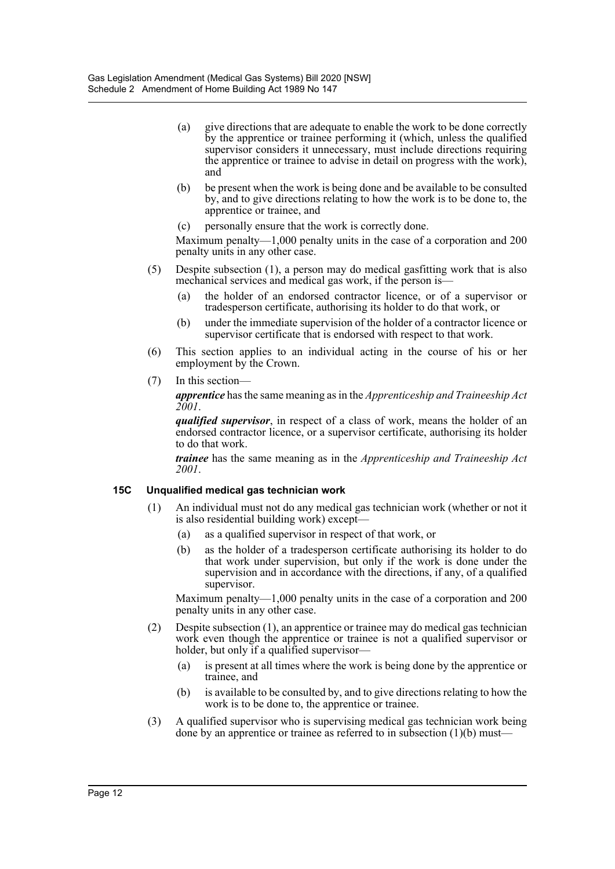- (a) give directions that are adequate to enable the work to be done correctly by the apprentice or trainee performing it (which, unless the qualified supervisor considers it unnecessary, must include directions requiring the apprentice or trainee to advise in detail on progress with the work), and
- (b) be present when the work is being done and be available to be consulted by, and to give directions relating to how the work is to be done to, the apprentice or trainee, and
- (c) personally ensure that the work is correctly done.

Maximum penalty—1,000 penalty units in the case of a corporation and 200 penalty units in any other case.

- (5) Despite subsection (1), a person may do medical gasfitting work that is also mechanical services and medical gas work, if the person is—
	- (a) the holder of an endorsed contractor licence, or of a supervisor or tradesperson certificate, authorising its holder to do that work, or
	- (b) under the immediate supervision of the holder of a contractor licence or supervisor certificate that is endorsed with respect to that work.
- (6) This section applies to an individual acting in the course of his or her employment by the Crown.
- (7) In this section—

*apprentice* has the same meaning as in the *Apprenticeship and Traineeship Act 2001*.

*qualified supervisor*, in respect of a class of work, means the holder of an endorsed contractor licence, or a supervisor certificate, authorising its holder to do that work.

*trainee* has the same meaning as in the *Apprenticeship and Traineeship Act 2001*.

#### **15C Unqualified medical gas technician work**

- (1) An individual must not do any medical gas technician work (whether or not it is also residential building work) except-
	- (a) as a qualified supervisor in respect of that work, or
	- (b) as the holder of a tradesperson certificate authorising its holder to do that work under supervision, but only if the work is done under the supervision and in accordance with the directions, if any, of a qualified supervisor.

Maximum penalty—1,000 penalty units in the case of a corporation and 200 penalty units in any other case.

- (2) Despite subsection (1), an apprentice or trainee may do medical gas technician work even though the apprentice or trainee is not a qualified supervisor or holder, but only if a qualified supervisor-
	- (a) is present at all times where the work is being done by the apprentice or trainee, and
	- (b) is available to be consulted by, and to give directions relating to how the work is to be done to, the apprentice or trainee.
- (3) A qualified supervisor who is supervising medical gas technician work being done by an apprentice or trainee as referred to in subsection  $(1)(b)$  must—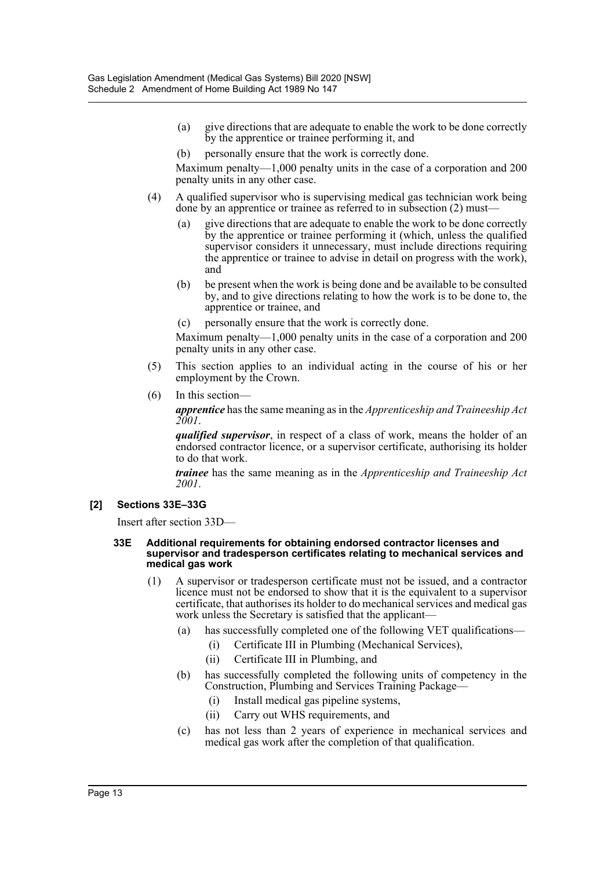- (a) give directions that are adequate to enable the work to be done correctly by the apprentice or trainee performing it, and
- (b) personally ensure that the work is correctly done.

Maximum penalty—1,000 penalty units in the case of a corporation and 200 penalty units in any other case.

- (4) A qualified supervisor who is supervising medical gas technician work being done by an apprentice or trainee as referred to in subsection (2) must—
	- (a) give directions that are adequate to enable the work to be done correctly by the apprentice or trainee performing it (which, unless the qualified supervisor considers it unnecessary, must include directions requiring the apprentice or trainee to advise in detail on progress with the work), and
	- (b) be present when the work is being done and be available to be consulted by, and to give directions relating to how the work is to be done to, the apprentice or trainee, and
	- (c) personally ensure that the work is correctly done.

Maximum penalty—1,000 penalty units in the case of a corporation and 200 penalty units in any other case.

- (5) This section applies to an individual acting in the course of his or her employment by the Crown.
- (6) In this section—

*apprentice* has the same meaning as in the *Apprenticeship and Traineeship Act 2001*.

*qualified supervisor*, in respect of a class of work, means the holder of an endorsed contractor licence, or a supervisor certificate, authorising its holder to do that work.

*trainee* has the same meaning as in the *Apprenticeship and Traineeship Act 2001*.

#### **[2] Sections 33E–33G**

Insert after section 33D—

#### **33E Additional requirements for obtaining endorsed contractor licenses and supervisor and tradesperson certificates relating to mechanical services and medical gas work**

- (1) A supervisor or tradesperson certificate must not be issued, and a contractor licence must not be endorsed to show that it is the equivalent to a supervisor certificate, that authorises its holder to do mechanical services and medical gas work unless the Secretary is satisfied that the applicant—
	- (a) has successfully completed one of the following VET qualifications—
		- (i) Certificate III in Plumbing (Mechanical Services),
		- (ii) Certificate III in Plumbing, and
	- (b) has successfully completed the following units of competency in the Construction, Plumbing and Services Training Package—
		- (i) Install medical gas pipeline systems,
		- (ii) Carry out WHS requirements, and
	- (c) has not less than 2 years of experience in mechanical services and medical gas work after the completion of that qualification.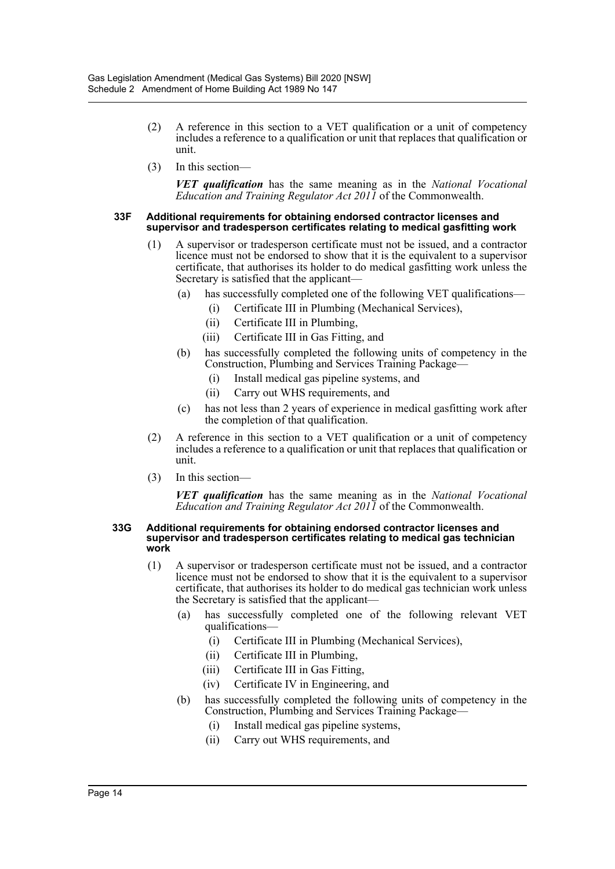- (2) A reference in this section to a VET qualification or a unit of competency includes a reference to a qualification or unit that replaces that qualification or unit.
- (3) In this section—

*VET qualification* has the same meaning as in the *National Vocational Education and Training Regulator Act 2011* of the Commonwealth.

#### **33F Additional requirements for obtaining endorsed contractor licenses and supervisor and tradesperson certificates relating to medical gasfitting work**

- (1) A supervisor or tradesperson certificate must not be issued, and a contractor licence must not be endorsed to show that it is the equivalent to a supervisor certificate, that authorises its holder to do medical gasfitting work unless the Secretary is satisfied that the applicant—
	- (a) has successfully completed one of the following VET qualifications—
		- (i) Certificate III in Plumbing (Mechanical Services),
		- (ii) Certificate III in Plumbing,
		- (iii) Certificate III in Gas Fitting, and
	- (b) has successfully completed the following units of competency in the Construction, Plumbing and Services Training Package—
		- (i) Install medical gas pipeline systems, and
		- (ii) Carry out WHS requirements, and
	- (c) has not less than 2 years of experience in medical gasfitting work after the completion of that qualification.
- (2) A reference in this section to a VET qualification or a unit of competency includes a reference to a qualification or unit that replaces that qualification or unit.
- (3) In this section—

*VET qualification* has the same meaning as in the *National Vocational Education and Training Regulator Act 2011* of the Commonwealth.

#### **33G Additional requirements for obtaining endorsed contractor licenses and supervisor and tradesperson certificates relating to medical gas technician work**

- (1) A supervisor or tradesperson certificate must not be issued, and a contractor licence must not be endorsed to show that it is the equivalent to a supervisor certificate, that authorises its holder to do medical gas technician work unless the Secretary is satisfied that the applicant—
	- (a) has successfully completed one of the following relevant VET qualifications—
		- (i) Certificate III in Plumbing (Mechanical Services),
		- (ii) Certificate III in Plumbing,
		- (iii) Certificate III in Gas Fitting,
		- (iv) Certificate IV in Engineering, and
	- (b) has successfully completed the following units of competency in the Construction, Plumbing and Services Training Package—
		- (i) Install medical gas pipeline systems,
		- (ii) Carry out WHS requirements, and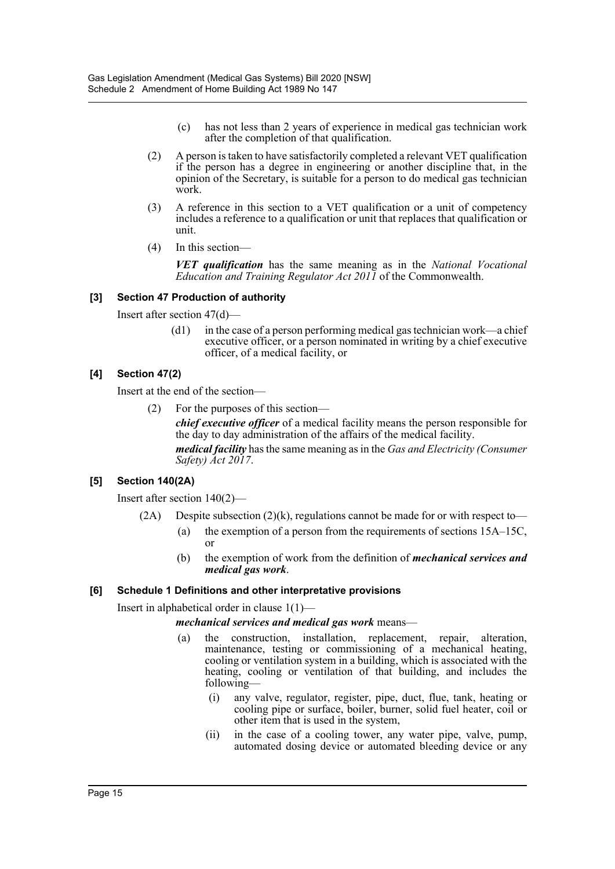- (c) has not less than 2 years of experience in medical gas technician work after the completion of that qualification.
- (2) A person is taken to have satisfactorily completed a relevant VET qualification if the person has a degree in engineering or another discipline that, in the opinion of the Secretary, is suitable for a person to do medical gas technician work.
- (3) A reference in this section to a VET qualification or a unit of competency includes a reference to a qualification or unit that replaces that qualification or unit.
- (4) In this section—

*VET qualification* has the same meaning as in the *National Vocational Education and Training Regulator Act 2011* of the Commonwealth.

#### **[3] Section 47 Production of authority**

Insert after section 47(d)—

(d1) in the case of a person performing medical gas technician work—a chief executive officer, or a person nominated in writing by a chief executive officer, of a medical facility, or

#### **[4] Section 47(2)**

Insert at the end of the section—

(2) For the purposes of this section—

*chief executive officer* of a medical facility means the person responsible for the day to day administration of the affairs of the medical facility.

*medical facility* has the same meaning as in the *Gas and Electricity (Consumer Safety) Act 2017*.

#### **[5] Section 140(2A)**

Insert after section 140(2)—

- $(2A)$  Despite subsection  $(2)(k)$ , regulations cannot be made for or with respect to-
	- (a) the exemption of a person from the requirements of sections 15A–15C, or
	- (b) the exemption of work from the definition of *mechanical services and medical gas work*.

#### **[6] Schedule 1 Definitions and other interpretative provisions**

Insert in alphabetical order in clause 1(1)—

*mechanical services and medical gas work* means—

- (a) the construction, installation, replacement, repair, alteration, maintenance, testing or commissioning of a mechanical heating, cooling or ventilation system in a building, which is associated with the heating, cooling or ventilation of that building, and includes the following—
	- (i) any valve, regulator, register, pipe, duct, flue, tank, heating or cooling pipe or surface, boiler, burner, solid fuel heater, coil or other item that is used in the system,
	- (ii) in the case of a cooling tower, any water pipe, valve, pump, automated dosing device or automated bleeding device or any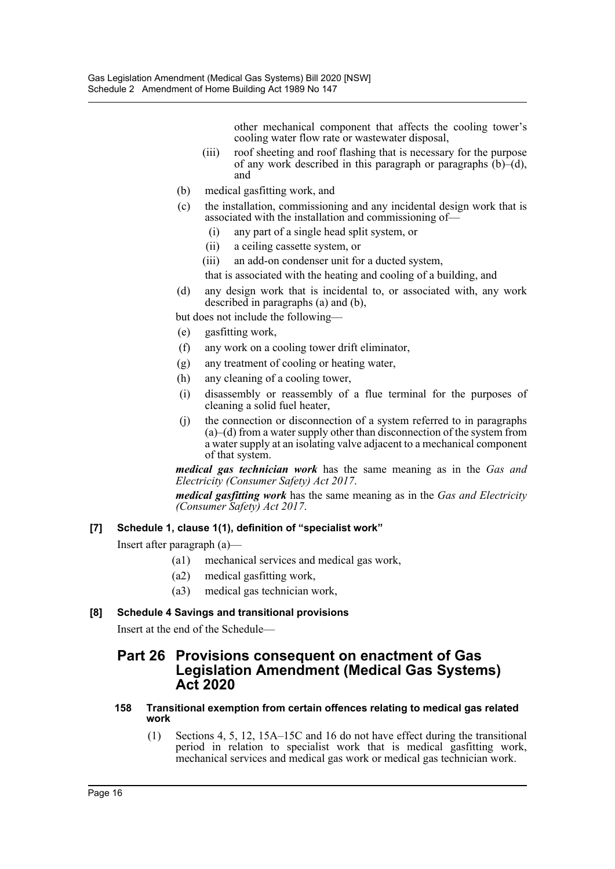other mechanical component that affects the cooling tower's cooling water flow rate or wastewater disposal,

- (iii) roof sheeting and roof flashing that is necessary for the purpose of any work described in this paragraph or paragraphs  $(b)$ – $(d)$ , and
- (b) medical gasfitting work, and
- (c) the installation, commissioning and any incidental design work that is associated with the installation and commissioning of—
	- (i) any part of a single head split system, or
	- (ii) a ceiling cassette system, or
	- (iii) an add-on condenser unit for a ducted system,

that is associated with the heating and cooling of a building, and

(d) any design work that is incidental to, or associated with, any work described in paragraphs (a) and (b),

but does not include the following—

- (e) gasfitting work,
- (f) any work on a cooling tower drift eliminator,
- (g) any treatment of cooling or heating water,
- (h) any cleaning of a cooling tower,
- (i) disassembly or reassembly of a flue terminal for the purposes of cleaning a solid fuel heater,
- (j) the connection or disconnection of a system referred to in paragraphs (a)–(d) from a water supply other than disconnection of the system from a water supply at an isolating valve adjacent to a mechanical component of that system.

*medical gas technician work* has the same meaning as in the *Gas and Electricity (Consumer Safety) Act 2017*.

*medical gasfitting work* has the same meaning as in the *Gas and Electricity (Consumer Safety) Act 2017*.

#### **[7] Schedule 1, clause 1(1), definition of "specialist work"**

Insert after paragraph (a)—

- (a1) mechanical services and medical gas work,
- (a2) medical gasfitting work,
- (a3) medical gas technician work,

#### **[8] Schedule 4 Savings and transitional provisions**

Insert at the end of the Schedule—

### **Part 26 Provisions consequent on enactment of Gas Legislation Amendment (Medical Gas Systems) Act 2020**

#### **158 Transitional exemption from certain offences relating to medical gas related work**

(1) Sections 4, 5, 12, 15A–15C and 16 do not have effect during the transitional period in relation to specialist work that is medical gasfitting work, mechanical services and medical gas work or medical gas technician work.